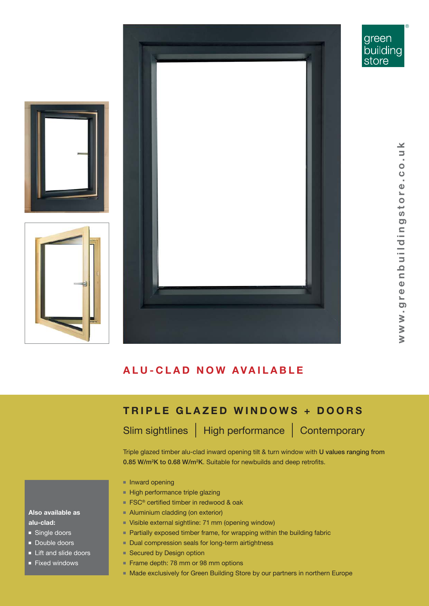

®

⊻

### **A L U - C L A D N O W A V A I L A B L E**

## **TRIPLE GLAZED WINDOWS + DOORS**

Slim sightlines | High performance | Contemporary

Triple glazed timber alu-clad inward opening tilt & turn window with U values ranging from 0.85 W/m<sup>2</sup>K to 0.68 W/m<sup>2</sup>K. Suitable for newbuilds and deep retrofits.

- Inward opening
- High performance triple glazing
- FSC<sup>®</sup> certified timber in redwood & oak
- Aluminium cladding (on exterior)
- Visible external sightline: 71 mm (opening window)
- Partially exposed timber frame, for wrapping within the building fabric
- Dual compression seals for long-term airtightness
- Secured by Design option
- Frame depth: 78 mm or 98 mm options
- Made exclusively for Green Building Store by our partners in northern Europe

### **Also available as alu-clad:**

- Single doors
- Double doors
- Lift and slide doors
- Fixed windows